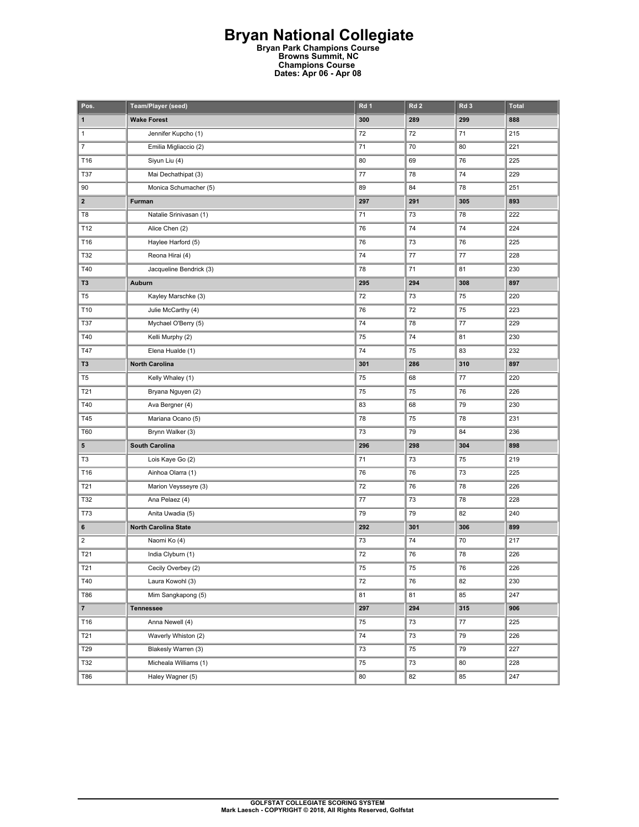## **Bryan National Collegiate Bryan Park Champions Course Browns Summit, NC**

**Champions Course Dates: Apr 06 - Apr 08** 

| Pos.                    | Team/Player (seed)          | Rd 1    | Rd <sub>2</sub> | Rd <sub>3</sub> | <b>Total</b> |
|-------------------------|-----------------------------|---------|-----------------|-----------------|--------------|
| 1                       | <b>Wake Forest</b>          | 300     | 289             | 299             | 888          |
| $\mathbf{1}$            | Jennifer Kupcho (1)         | 72      | 72              | 71              | 215          |
| $\overline{7}$          | Emilia Migliaccio (2)       | 71      | 70              | 80              | 221          |
| T16                     | Siyun Liu (4)               | 80      | 69              | 76              | 225          |
| <b>T37</b>              | Mai Dechathipat (3)         | $77 \,$ | 78              | 74              | 229          |
| 90                      | Monica Schumacher (5)       | 89      | 84              | 78              | 251          |
| 2                       | Furman                      | 297     | 291             | 305             | 893          |
| T8                      | Natalie Srinivasan (1)      | 71      | 73              | 78              | 222          |
| T12                     | Alice Chen (2)              | 76      | 74              | 74              | 224          |
| T16                     | Haylee Harford (5)          | 76      | 73              | 76              | 225          |
| T32                     | Reona Hirai (4)             | 74      | $77 \,$         | 77              | 228          |
| T40                     | Jacqueline Bendrick (3)     | 78      | 71              | 81              | 230          |
| T <sub>3</sub>          | Auburn                      | 295     | 294             | 308             | 897          |
| T <sub>5</sub>          | Kayley Marschke (3)         | 72      | 73              | 75              | 220          |
| T10                     | Julie McCarthy (4)          | 76      | 72              | 75              | 223          |
| <b>T37</b>              | Mychael O'Berry (5)         | 74      | 78              | 77              | 229          |
| T40                     | Kelli Murphy (2)            | 75      | 74              | 81              | 230          |
| T47                     | Elena Hualde (1)            | 74      | 75              | 83              | 232          |
| T3                      | <b>North Carolina</b>       | 301     | 286             | 310             | 897          |
| T <sub>5</sub>          | Kelly Whaley (1)            | 75      | 68              | 77              | 220          |
| T21                     | Bryana Nguyen (2)           | 75      | 75              | 76              | 226          |
| T40                     | Ava Bergner (4)             | 83      | 68              | 79              | 230          |
| T45                     | Mariana Ocano (5)           | 78      | 75              | 78              | 231          |
| T60                     | Brynn Walker (3)            | 73      | 79              | 84              | 236          |
| 5                       | South Carolina              | 296     | 298             | 304             | 898          |
| T3                      | Lois Kaye Go (2)            | 71      | 73              | 75              | 219          |
| T16                     | Ainhoa Olarra (1)           | 76      | 76              | 73              | 225          |
| T21                     | Marion Veysseyre (3)        | 72      | 76              | 78              | 226          |
| T32                     | Ana Pelaez (4)              | $77 \,$ | 73              | 78              | 228          |
| <b>T73</b>              | Anita Uwadia (5)            | 79      | 79              | 82              | 240          |
| 6                       | <b>North Carolina State</b> | 292     | 301             | 306             | 899          |
| $\overline{\mathbf{c}}$ | Naomi Ko (4)                | 73      | 74              | 70              | 217          |
| T21                     | India Clyburn (1)           | 72      | 76              | 78              | 226          |
| T21                     | Cecily Overbey (2)          | 75      | 75              | 76              | 226          |
| T40                     | Laura Kowohl (3)            | 72      | 76              | 82              | 230          |
| T86                     | Mim Sangkapong (5)          | 81      | 81              | 85              | 247          |
| $\overline{7}$          | <b>Tennessee</b>            | 297     | 294             | 315             | 906          |
| T16                     | Anna Newell (4)             | 75      | 73              | 77              | 225          |
| T21                     | Waverly Whiston (2)         | 74      | 73              | 79              | 226          |
| T29                     | Blakesly Warren (3)         | 73      | 75              | 79              | 227          |
| T32                     | Micheala Williams (1)       | 75      | $73\,$          | 80              | 228          |
| T86                     | Haley Wagner (5)            | 80      | 82              | 85              | 247          |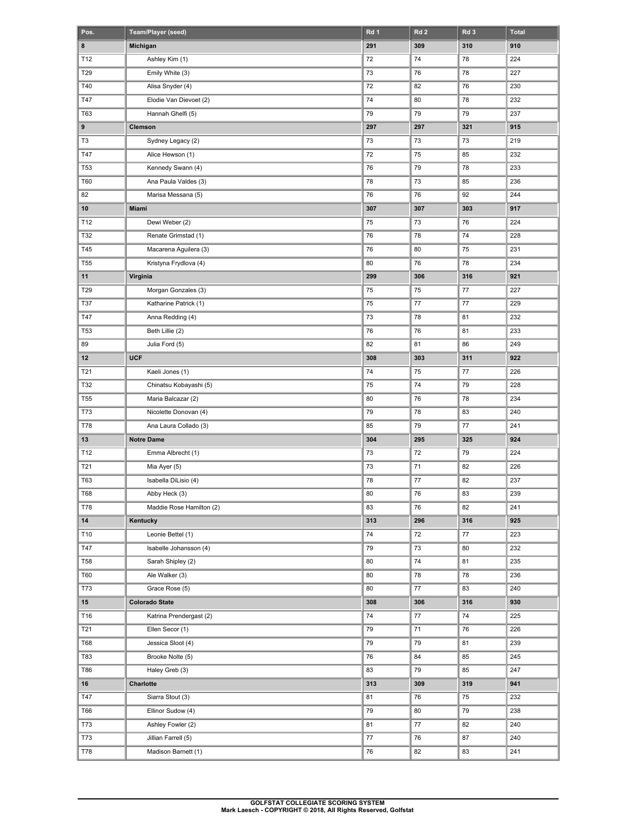| Pos.            | Team/Player (seed)                          | Rd 1 | Rd <sub>2</sub> | Rd <sub>3</sub> | <b>Total</b> |
|-----------------|---------------------------------------------|------|-----------------|-----------------|--------------|
| 8               | Michigan                                    | 291  | 309             | 310             | 910          |
| T12             | Ashley Kim (1)                              | 72   | 74              | 78              | 224          |
| T29             | Emily White (3)                             | 73   | 76              | 78              | 227          |
| T40             | Alisa Snyder (4)                            | 72   | 82              | 76              | 230          |
| T47             | Elodie Van Dievoet (2)                      | 74   | 80              | 78              | 232          |
| T63             | Hannah Ghelfi (5)                           | 79   | 79              | 79              | 237          |
| 9               | Clemson                                     | 297  | 297             | 321             | 915          |
| T <sub>3</sub>  | Sydney Legacy (2)                           | 73   | 73              | 73              | 219          |
| T47             | Alice Hewson (1)                            | 72   | 75              | 85              | 232          |
| <b>T53</b>      | Kennedy Swann (4)                           | 76   | 79              | 78              | 233          |
| T60             | Ana Paula Valdes (3)                        | 78   | 73              | 85              | 236          |
| 82              | Marisa Messana (5)                          | 76   | 76              | 92              | 244          |
| 10              | Miami                                       | 307  | 307             | 303             | 917          |
| T12             | Dewi Weber (2)                              | 75   | 73              | 76              | 224          |
| T32             | Renate Grimstad (1)                         | 76   | 78              | 74              | 228          |
| T45             | Macarena Aguilera (3)                       | 76   | 80              | 75              | 231          |
| <b>T55</b>      | Kristyna Frydlova (4)                       | 80   | 76              | 78              | 234          |
| 11              | Virginia                                    | 299  | 306             | 316             | 921          |
| T29             | Morgan Gonzales (3)                         | 75   | 75              | 77              | 227          |
| T37             | Katharine Patrick (1)                       | 75   | 77              | 77              | 229          |
| T47             | Anna Redding (4)                            | 73   | 78              | 81              | 232          |
| <b>T53</b>      | Beth Lillie (2)                             | 76   | 76              | 81              | 233          |
| 89              | Julia Ford (5)                              | 82   | 81              | 86              | 249          |
| 12              | <b>UCF</b>                                  | 308  | 303             | 311             | 922          |
| T21             | Kaeli Jones (1)                             | 74   | 75              | 77              | 226          |
| T32             | Chinatsu Kobayashi (5)                      | 75   | 74              | 79              | 228          |
| T <sub>55</sub> | Maria Balcazar (2)                          | 80   | 76              | 78              | 234          |
| <b>T73</b>      | Nicolette Donovan (4)                       | 79   | 78              | 83              | 240          |
| <b>T78</b>      | Ana Laura Collado (3)                       | 85   | 79              | 77              | 241          |
| 13              | <b>Notre Dame</b>                           | 304  | 295             | 325             | 924          |
| T12             | Emma Albrecht (1)                           | 73   | 72              | 79              | 224          |
| T21             | Mia Ayer (5)                                | 73   | 71              | 82              | 226          |
| T63             | Isabella DiLisio (4)                        |      |                 | 82              | 237          |
|                 |                                             | 78   | 77              |                 |              |
| <b>T68</b>      | Abby Heck (3)                               | 80   | 76              | 83              | 239          |
| T78             | Maddie Rose Hamilton (2)                    | 83   | 76              | 82              | 241          |
| 14              | Kentucky                                    | 313  | 296             | 316             | 925          |
| T10             | Leonie Bettel (1)<br>Isabelle Johansson (4) | 74   | 72              | $77 \,$         | 223          |
| T47             |                                             | 79   | 73              | 80              | 232          |
| <b>T58</b>      | Sarah Shipley (2)                           | 80   | 74              | 81              | 235          |
| T60             | Ale Walker (3)                              | 80   | 78              | 78              | 236          |
| T73             | Grace Rose (5)                              | 80   | 77              | 83              | 240          |
| $15\,$          | <b>Colorado State</b>                       | 308  | 306             | 316             | 930          |
| T16             | Katrina Prendergast (2)                     | 74   | 77              | 74              | 225          |
| T21             | Ellen Secor (1)                             | 79   | 71              | 76              | 226          |
| T68             | Jessica Sloot (4)                           | 79   | 79              | 81              | 239          |
| T83             | Brooke Nolte (5)                            | 76   | 84              | 85              | 245          |
| T86             | Haley Greb (3)                              | 83   | 79              | 85              | 247          |
| 16              | Charlotte                                   | 313  | 309             | 319             | 941          |
| T47             | Siarra Stout (3)                            | 81   | 76              | 75              | 232          |
| T66             | Ellinor Sudow (4)                           | 79   | 80              | 79              | 238          |
| T73             | Ashley Fowler (2)                           | 81   | 77              | 82              | 240          |
| T73             | Jillian Farrell (5)                         | 77   | 76              | 87              | 240          |
| T78             | Madison Barnett (1)                         | 76   | 82              | 83              | 241          |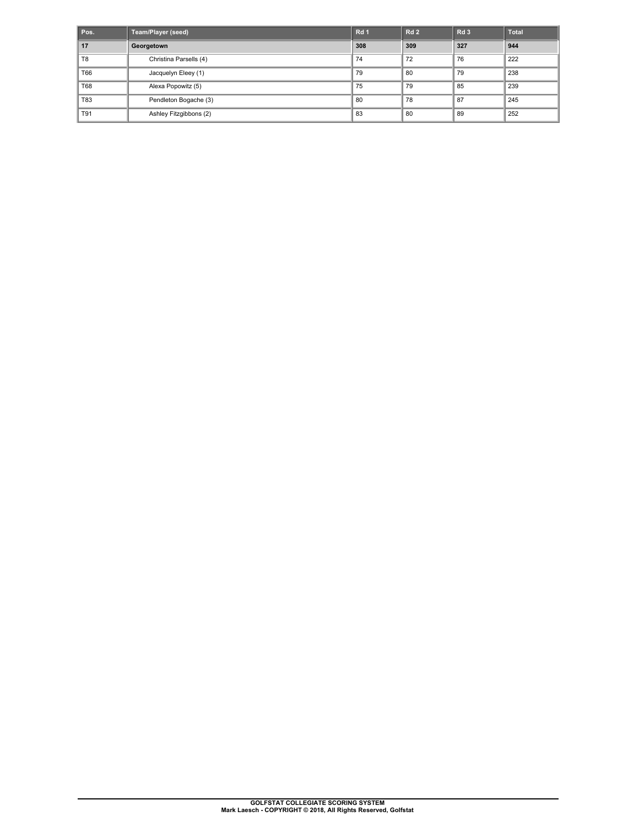| Pos.           | <b>Team/Player (seed)</b> | Rd <sub>1</sub> | <b>Rd 2</b> | Rd <sub>3</sub> | <b>Total</b> |
|----------------|---------------------------|-----------------|-------------|-----------------|--------------|
| 17             | Georgetown                | 308             | 309         | 327             | 944          |
| T <sub>8</sub> | Christina Parsells (4)    | 74              | 72          | 76              | 222          |
| T66            | Jacquelyn Eleey (1)       | 79              | 80          | 79              | 238          |
| T68            | Alexa Popowitz (5)        | 75              | 79          | 85              | 239          |
| <b>T83</b>     | Pendleton Bogache (3)     | 80              | 78          | 87              | 245          |
| T91            | Ashley Fitzgibbons (2)    | 83              | 80          | 89              | 252          |